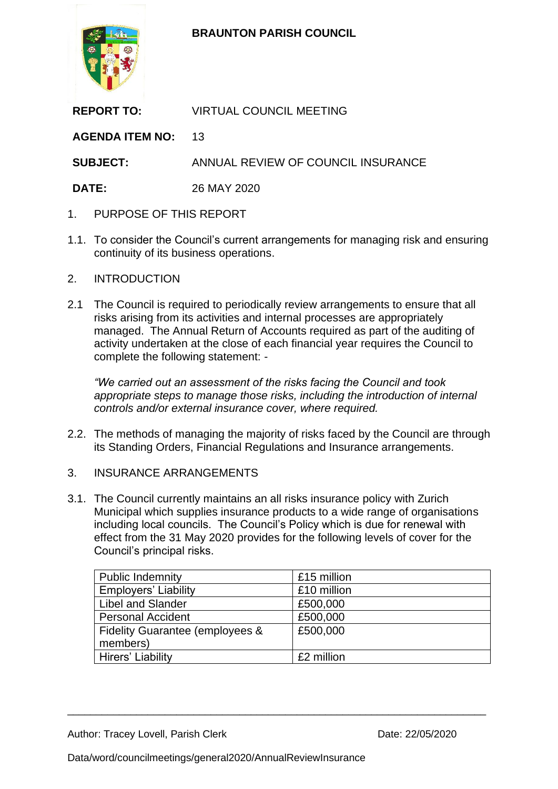

**BRAUNTON PARISH COUNCIL**

| <b>REPORT TO:</b>      | <b>VIRTUAL COUNCIL MEETING</b>     |
|------------------------|------------------------------------|
| <b>AGENDA ITEM NO:</b> | 13                                 |
| <b>SUBJECT:</b>        | ANNUAL REVIEW OF COUNCIL INSURANCE |
| <b>DATE:</b>           | 26 MAY 2020                        |
|                        |                                    |

- 1. PURPOSE OF THIS REPORT
- 1.1. To consider the Council's current arrangements for managing risk and ensuring continuity of its business operations.
- 2. INTRODUCTION
- 2.1 The Council is required to periodically review arrangements to ensure that all risks arising from its activities and internal processes are appropriately managed. The Annual Return of Accounts required as part of the auditing of activity undertaken at the close of each financial year requires the Council to complete the following statement: -

*"We carried out an assessment of the risks facing the Council and took appropriate steps to manage those risks, including the introduction of internal controls and/or external insurance cover, where required.*

- 2.2. The methods of managing the majority of risks faced by the Council are through its Standing Orders, Financial Regulations and Insurance arrangements.
- 3. INSURANCE ARRANGEMENTS
- 3.1. The Council currently maintains an all risks insurance policy with Zurich Municipal which supplies insurance products to a wide range of organisations including local councils. The Council's Policy which is due for renewal with effect from the 31 May 2020 provides for the following levels of cover for the Council's principal risks.

| <b>Public Indemnity</b>         | £15 million |
|---------------------------------|-------------|
| <b>Employers' Liability</b>     | £10 million |
| <b>Libel and Slander</b>        | £500,000    |
| <b>Personal Accident</b>        | £500,000    |
| Fidelity Guarantee (employees & | £500,000    |
| members)                        |             |
| Hirers' Liability               | £2 million  |

\_\_\_\_\_\_\_\_\_\_\_\_\_\_\_\_\_\_\_\_\_\_\_\_\_\_\_\_\_\_\_\_\_\_\_\_\_\_\_\_\_\_\_\_\_\_\_\_\_\_\_\_\_\_\_\_\_\_\_\_\_\_\_\_\_\_\_\_\_\_\_\_\_